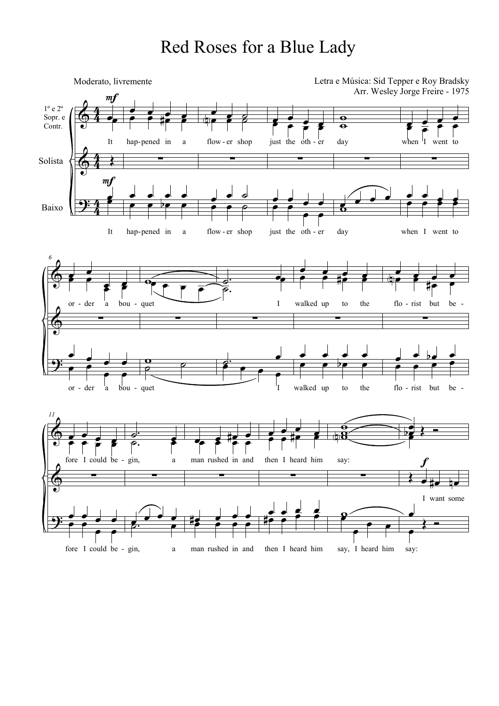## Red Roses for a Blue Lady

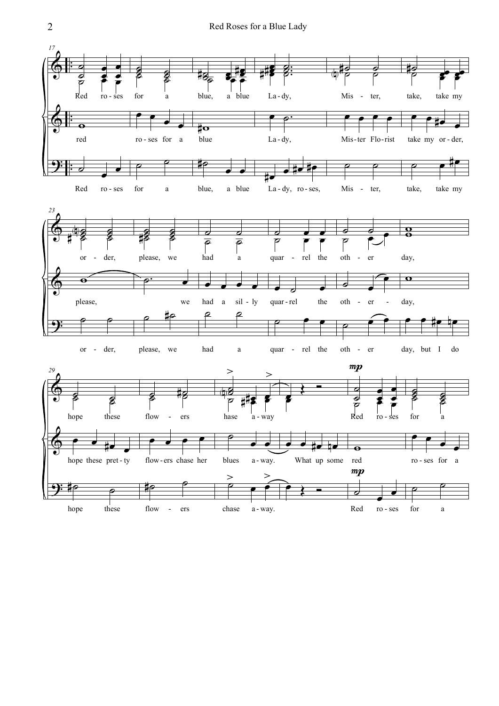